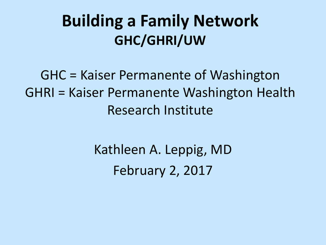## **Building a Family Network GHC/GHRI/UW**

GHC = Kaiser Permanente of Washington GHRI = Kaiser Permanente Washington Health Research Institute

> Kathleen A. Leppig, MD February 2, 2017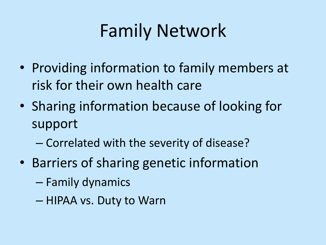## Family Network

- Providing information to family members at risk for their own health care
- Sharing information because of looking for support
	- Correlated with the severity of disease?
- Barriers of sharing genetic information
	- Family dynamics
	- $-$  HIPAA vs. Duty to Warn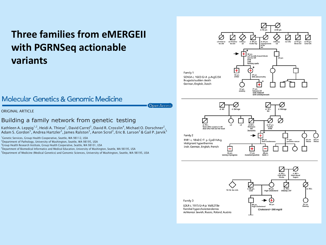### **Three families from eMERGEII with PGRNSeq actionable variants**



64 yrs 59 yrs<br>Obese Obese

71 yrs

#### **Molecular Genetics & Genomic Medicine**

Open Access)

ORIGINAL ARTICLE

#### Building a family network from genetic testing

Kathleen A. Leppig<sup>1,2</sup>, Heidi A. Thiese<sup>1</sup>, David Carrel<sup>3</sup>, David R. Crosslin<sup>4</sup>, Michael O. Dorschner<sup>2</sup>, Adam S. Gordon<sup>5</sup>, Andrea Hartzler<sup>3</sup>, James Ralston<sup>3</sup>, Aaron Scrol<sup>3</sup>, Eric B. Larson<sup>3</sup> & Gail P. Jarvik<sup>5</sup>

<sup>1</sup>Genetic Services, Group Health Cooperative, Seattle, WA 98112, USA

2 Department of Pathology, University of Washington, Seattle, WA 98195, USA

<sup>3</sup>Group Health Research Institute, Group Health Cooperative, Seattle, WA 98101, USA

4 Department of Biomedical Informatics and Medical Education, University of Washington, Seattle, WA 98195, USA

5 Department of Medicine (Medical Genetics) and Genomic Sciences, University of Washington, Seattle, WA 98195, USA



Ŧ 31 yrs

mutation

28 yrs

a. yo s<br>fever after surgery in AK<br>died after fall and hit heas

34 yrs

testing in pro-

RYR1 c. 1840 C>T p. Cys614Arq

Malignant hyperthermia Irish, German, English, French

Family 2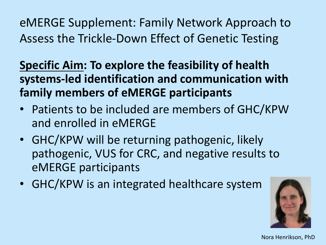eMERGE Supplement: Family Network Approach to Assess the Trickle-Down Effect of Genetic Testing

**Specific Aim: To explore the feasibility of health** systems-led identification and communication with **family members of eMERGE participants** 

- Patients to be included are members of GHC/KPW and enrolled in eMERGE
- GHC/KPW will be returning pathogenic, likely pathogenic, VUS for CRC, and negative results to eMERGE participants
- GHC/KPW is an integrated healthcare system



Nora Henrikson, PhD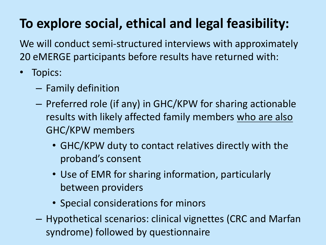## To explore social, ethical and legal feasibility:

We will conduct semi-structured interviews with approximately 20 eMERGE participants before results have returned with:

- Topics:
	- Family definition
	- $-$  Preferred role (if any) in GHC/KPW for sharing actionable results with likely affected family members who are also GHC/KPW members
		- GHC/KPW duty to contact relatives directly with the proband's consent
		- Use of EMR for sharing information, particularly between providers
		- Special considerations for minors
	- $-$  Hypothetical scenarios: clinical vignettes (CRC and Marfan syndrome) followed by questionnaire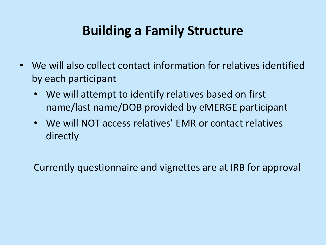### **Building a Family Structure**

- We will also collect contact information for relatives identified by each participant
	- We will attempt to identify relatives based on first name/last name/DOB provided by eMERGE participant
	- We will NOT access relatives' EMR or contact relatives directly

Currently questionnaire and vignettes are at IRB for approval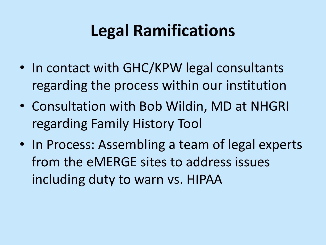## **Legal Ramifications**

- In contact with GHC/KPW legal consultants regarding the process within our institution
- Consultation with Bob Wildin, MD at NHGRI regarding Family History Tool
- In Process: Assembling a team of legal experts from the eMERGE sites to address issues including duty to warn vs. HIPAA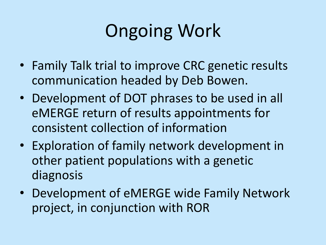# **Ongoing Work**

- Family Talk trial to improve CRC genetic results communication headed by Deb Bowen.
- Development of DOT phrases to be used in all eMERGE return of results appointments for consistent collection of information
- Exploration of family network development in other patient populations with a genetic diagnosis
- Development of eMERGE wide Family Network project, in conjunction with ROR